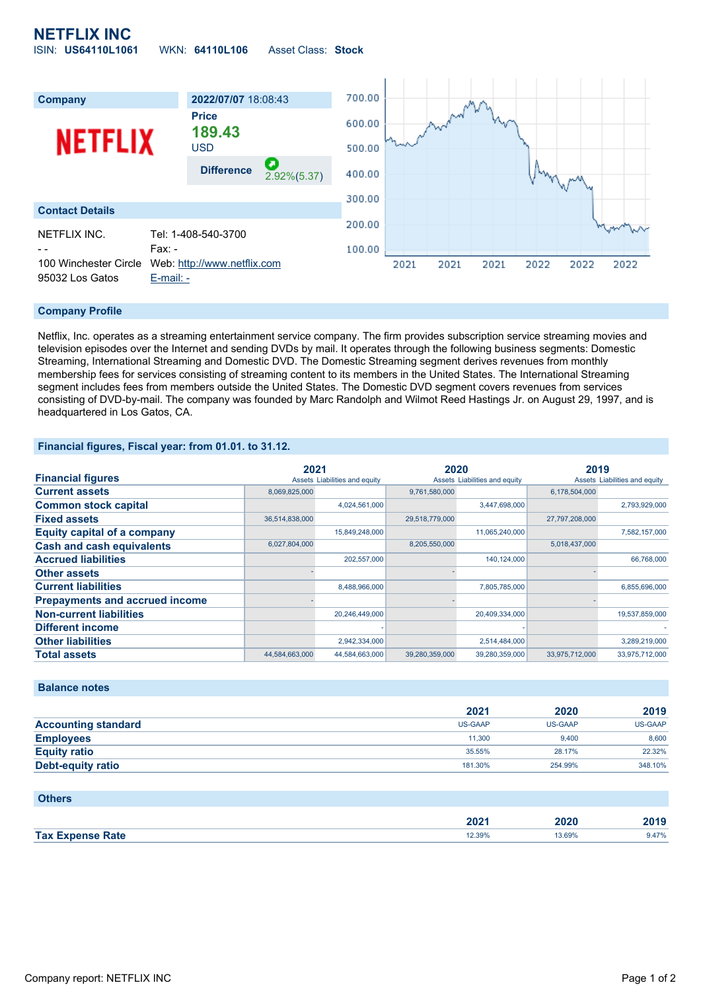## **NETFLIX INC** ISIN: **US64110L1061** WKN: **64110L106** Asset Class: **Stock**



#### **Company Profile**

Netflix, Inc. operates as a streaming entertainment service company. The firm provides subscription service streaming movies and television episodes over the Internet and sending DVDs by mail. It operates through the following business segments: Domestic Streaming, International Streaming and Domestic DVD. The Domestic Streaming segment derives revenues from monthly membership fees for services consisting of streaming content to its members in the United States. The International Streaming segment includes fees from members outside the United States. The Domestic DVD segment covers revenues from services consisting of DVD-by-mail. The company was founded by Marc Randolph and Wilmot Reed Hastings Jr. on August 29, 1997, and is headquartered in Los Gatos, CA.

#### **Financial figures, Fiscal year: from 01.01. to 31.12.**

|                                       | 2021           |                               | 2020           |                               | 2019           |                               |
|---------------------------------------|----------------|-------------------------------|----------------|-------------------------------|----------------|-------------------------------|
| <b>Financial figures</b>              |                | Assets Liabilities and equity |                | Assets Liabilities and equity |                | Assets Liabilities and equity |
| <b>Current assets</b>                 | 8,069,825,000  |                               | 9,761,580,000  |                               | 6,178,504,000  |                               |
| <b>Common stock capital</b>           |                | 4,024,561,000                 |                | 3,447,698,000                 |                | 2,793,929,000                 |
| <b>Fixed assets</b>                   | 36,514,838,000 |                               | 29,518,779,000 |                               | 27,797,208,000 |                               |
| <b>Equity capital of a company</b>    |                | 15,849,248,000                |                | 11,065,240,000                |                | 7,582,157,000                 |
| <b>Cash and cash equivalents</b>      | 6,027,804,000  |                               | 8,205,550,000  |                               | 5,018,437,000  |                               |
| <b>Accrued liabilities</b>            |                | 202,557,000                   |                | 140,124,000                   |                | 66,768,000                    |
| <b>Other assets</b>                   |                |                               |                |                               |                |                               |
| <b>Current liabilities</b>            |                | 8,488,966,000                 |                | 7,805,785,000                 |                | 6,855,696,000                 |
| <b>Prepayments and accrued income</b> |                |                               |                |                               |                |                               |
| <b>Non-current liabilities</b>        |                | 20,246,449,000                |                | 20,409,334,000                |                | 19,537,859,000                |
| <b>Different income</b>               |                |                               |                |                               |                |                               |
| <b>Other liabilities</b>              |                | 2,942,334,000                 |                | 2,514,484,000                 |                | 3,289,219,000                 |
| <b>Total assets</b>                   | 44,584,663,000 | 44,584,663,000                | 39,280,359,000 | 39,280,359,000                | 33,975,712,000 | 33,975,712,000                |

### **Balance notes**

|                            | 2021    | 2020    | 2019           |
|----------------------------|---------|---------|----------------|
| <b>Accounting standard</b> | US-GAAP | US-GAAP | <b>US-GAAP</b> |
| <b>Employees</b>           | 11.300  | 9.400   | 8,600          |
| <b>Equity ratio</b>        | 35.55%  | 28.17%  | 22.32%         |
| <b>Debt-equity ratio</b>   | 181.30% | 254.99% | 348.10%        |

| <b>Others</b>           |        |        |       |
|-------------------------|--------|--------|-------|
|                         | 2021   | 2020   | 2019  |
| <b>Tax Expense Rate</b> | 12.39% | 13.69% | 9.47% |